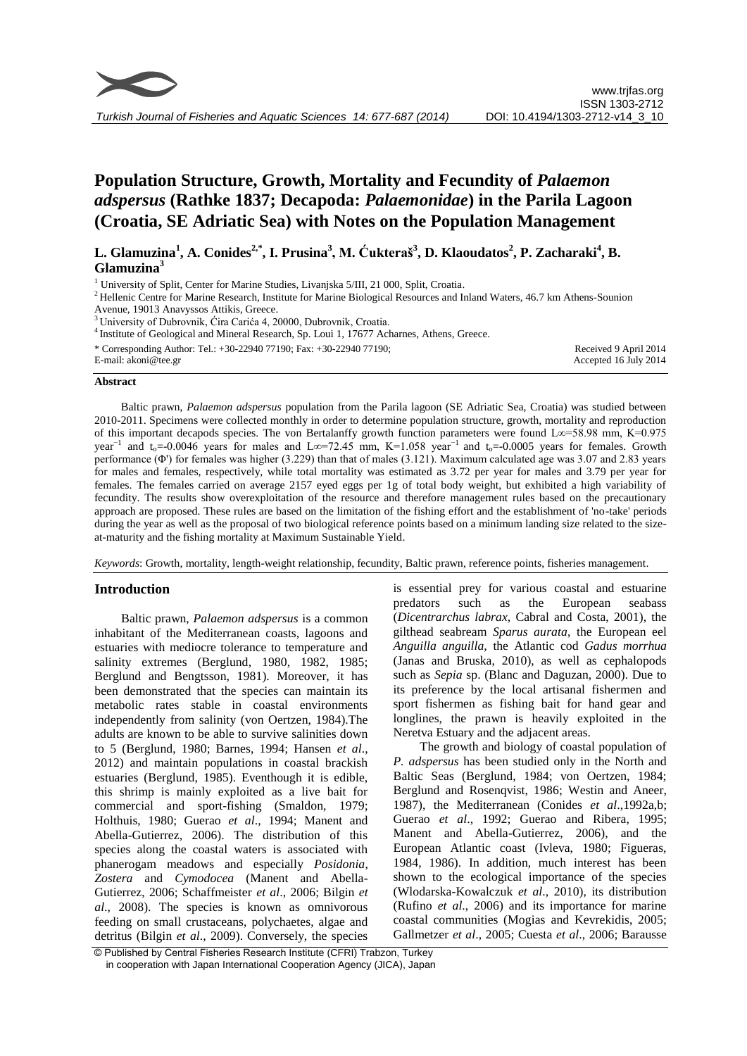

# **Population Structure, Growth, Mortality and Fecundity of** *Palaemon adspersus* **(Rathke 1837; Decapoda:** *Palaemonidae***) in the Parila Lagoon (Croatia, SE Adriatic Sea) with Notes on the Population Management**

**L. Glamuzina<sup>1</sup> , A. Conides2,\*, I. Prusina<sup>3</sup> , M. Ćukteraš<sup>3</sup> , D. Klaoudatos<sup>2</sup> , P. Zacharaki<sup>4</sup> , B. Glamuzina<sup>3</sup>**

<sup>1</sup> University of Split, Center for Marine Studies, Livaniska 5/III, 21 000, Split, Croatia.

<sup>2</sup> Hellenic Centre for Marine Research, Institute for Marine Biological Resources and Inland Waters, 46.7 km Athens-Sounion Avenue, 19013 Anavyssos Attikis, Greece.

<sup>3</sup>University of Dubrovnik, Ćira Carića 4, 20000, Dubrovnik, Croatia.

<sup>4</sup> Institute of Geological and Mineral Research, Sp. Loui 1, 17677 Acharnes, Athens, Greece.

| * Corresponding Author: Tel.: $+30-22940$ 77190; Fax: $+30-22940$ 77190; | Received 9 April 2014 |
|--------------------------------------------------------------------------|-----------------------|
| E-mail: akoni@tee.gr                                                     | Accepted 16 July 2014 |

#### **Abstract**

Baltic prawn, *Palaemon adspersus* population from the Parila lagoon (SE Adriatic Sea, Croatia) was studied between 2010-2011. Specimens were collected monthly in order to determine population structure, growth, mortality and reproduction of this important decapods species. The von Bertalanffy growth function parameters were found L∞=58.98 mm, K=0.975 year<sup>-1</sup> and t<sub>o</sub>=-0.0046 years for males and L∞=72.45 mm, K=1.058 year<sup>-1</sup> and t<sub>o</sub>=-0.0005 years for females. Growth performance (Φ') for females was higher (3.229) than that of males (3.121). Maximum calculated age was 3.07 and 2.83 years for males and females, respectively, while total mortality was estimated as 3.72 per year for males and 3.79 per year for females. The females carried on average 2157 eyed eggs per 1g of total body weight, but exhibited a high variability of fecundity. The results show overexploitation of the resource and therefore management rules based on the precautionary approach are proposed. These rules are based on the limitation of the fishing effort and the establishment of 'no-take' periods during the year as well as the proposal of two biological reference points based on a minimum landing size related to the sizeat-maturity and the fishing mortality at Maximum Sustainable Yield.

*Keywords*: Growth, mortality, length-weight relationship, fecundity, Baltic prawn, reference points, fisheries management.

## **Introduction**

Baltic prawn, *Palaemon adspersus* is a common inhabitant of the Mediterranean coasts, lagoons and estuaries with mediocre tolerance to temperature and salinity extremes (Berglund, 1980, 1982, 1985; Berglund and Bengtsson, 1981). Moreover, it has been demonstrated that the species can maintain its metabolic rates stable in coastal environments independently from salinity (von Oertzen, 1984).The adults are known to be able to survive salinities down to 5 (Berglund, 1980; Barnes, 1994; Hansen *et al*., 2012) and maintain populations in coastal brackish estuaries (Berglund, 1985). Eventhough it is edible, this shrimp is mainly exploited as a live bait for commercial and sport-fishing (Smaldon, 1979; Holthuis, 1980; Guerao *et al*., 1994; Manent and Abella-Gutierrez, 2006). The distribution of this species along the coastal waters is associated with phanerogam meadows and especially *Posidonia*, *Zostera* and *Cymodocea* (Manent and Abella-Gutierrez, 2006; Schaffmeister *et al*., 2006; Bilgin *et al*., 2008). The species is known as omnivorous feeding on small crustaceans, polychaetes, algae and detritus (Bilgin *et al*., 2009). Conversely, the species is essential prey for various coastal and estuarine predators such as the European seabass (*Dicentrarchus labrax,* Cabral and Costa, 2001), the gilthead seabream *Sparus aurata*, the European eel *Anguilla anguilla,* the Atlantic cod *Gadus morrhua* (Janas and Bruska, 2010), as well as cephalopods such as *Sepia* sp. (Blanc and Daguzan, 2000). Due to its preference by the local artisanal fishermen and sport fishermen as fishing bait for hand gear and longlines, the prawn is heavily exploited in the Neretva Estuary and the adjacent areas.

The growth and biology of coastal population of *P. adspersus* has been studied only in the North and Baltic Seas (Berglund, 1984; von Oertzen, 1984; Berglund and Rosenqvist, 1986; Westin and Aneer, 1987), the Mediterranean (Conides *et al*.,1992a,b; Guerao *et al*., 1992; Guerao and Ribera, 1995; Manent and Abella-Gutierrez, 2006), and the European Atlantic coast (Ivleva, 1980; Figueras, 1984, 1986). In addition, much interest has been shown to the ecological importance of the species (Wlodarska-Kowalczuk *et al*., 2010), its distribution (Rufino *et al*., 2006) and its importance for marine coastal communities (Mogias and Kevrekidis, 2005; Gallmetzer *et al*., 2005; Cuesta *et al*., 2006; Barausse

© Published by Central Fisheries Research Institute (CFRI) Trabzon, Turkey in cooperation with Japan International Cooperation Agency (JICA), Japan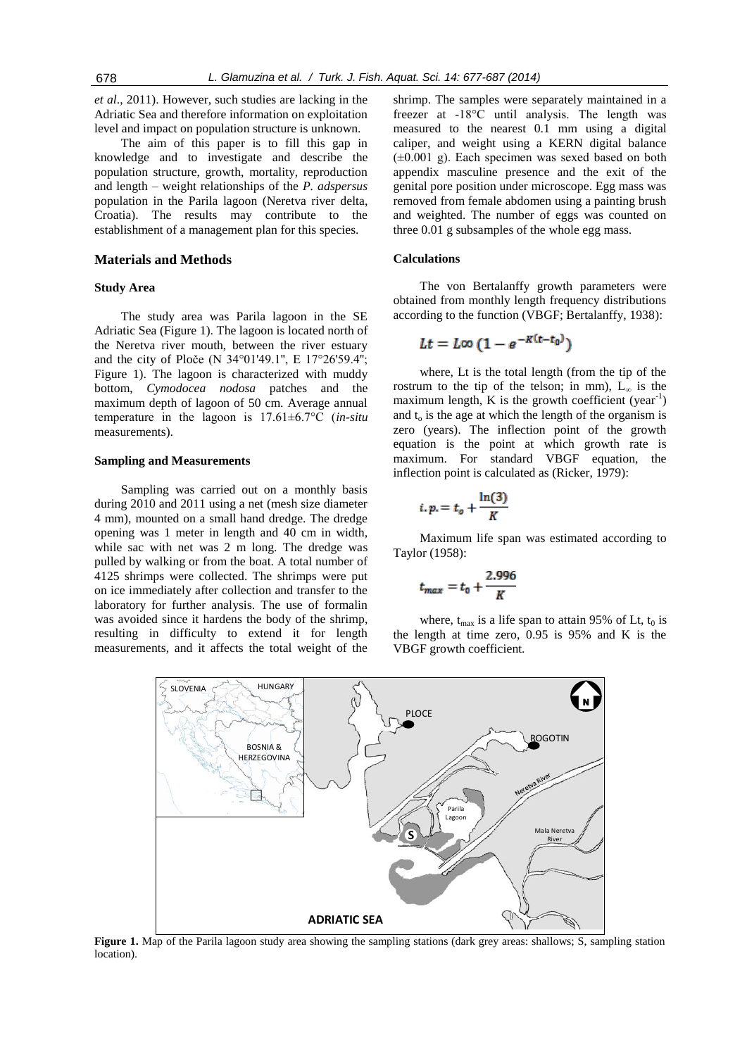*et al*., 2011). However, such studies are lacking in the Adriatic Sea and therefore information on exploitation level and impact on population structure is unknown.

The aim of this paper is to fill this gap in knowledge and to investigate and describe the population structure, growth, mortality, reproduction and length – weight relationships of the *P. adspersus*  population in the Parila lagoon (Neretva river delta, Croatia). The results may contribute to the establishment of a management plan for this species.

#### **Materials and Methods**

## **Study Area**

The study area was Parila lagoon in the SE Adriatic Sea (Figure 1). The lagoon is located north of the Neretva river mouth, between the river estuary and the city of Ploče (N 34°01'49.1'', E 17°26'59.4''; Figure 1). The lagoon is characterized with muddy bottom, *Cymodocea nodosa* patches and the maximum depth of lagoon of 50 cm. Average annual temperature in the lagoon is 17.61±6.7°C (*in-situ* measurements).

## **Sampling and Measurements**

Sampling was carried out on a monthly basis during 2010 and 2011 using a net (mesh size diameter 4 mm), mounted on a small hand dredge. The dredge opening was 1 meter in length and 40 cm in width, while sac with net was 2 m long. The dredge was pulled by walking or from the boat. A total number of 4125 shrimps were collected. The shrimps were put on ice immediately after collection and transfer to the laboratory for further analysis. The use of formalin was avoided since it hardens the body of the shrimp, resulting in difficulty to extend it for length measurements, and it affects the total weight of the

shrimp. The samples were separately maintained in a freezer at -18°C until analysis. The length was measured to the nearest 0.1 mm using a digital caliper, and weight using a KERN digital balance  $(\pm 0.001 \text{ g})$ . Each specimen was sexed based on both appendix masculine presence and the exit of the genital pore position under microscope. Egg mass was removed from female abdomen using a painting brush and weighted. The number of eggs was counted on three 0.01 g subsamples of the whole egg mass.

## **Calculations**

The von Bertalanffy growth parameters were obtained from monthly length frequency distributions according to the function (VBGF; Bertalanffy, 1938):

$$
Lt = L\infty \left(1 - e^{-K(t-t_0)}\right)
$$

where, Lt is the total length (from the tip of the rostrum to the tip of the telson; in mm),  $L_{\infty}$  is the maximum length,  $K$  is the growth coefficient (year<sup>-1</sup>) and  $t_0$  is the age at which the length of the organism is zero (years). The inflection point of the growth equation is the point at which growth rate is maximum. For standard VBGF equation, the inflection point is calculated as (Ricker, 1979):

$$
i, p = t_o + \frac{\ln(3)}{K}
$$

Maximum life span was estimated according to Taylor (1958):

$$
t_{max} = t_0 + \frac{2.996}{K}
$$

where,  $t_{max}$  is a life span to attain 95% of Lt,  $t_0$  is the length at time zero, 0.95 is 95% and K is the VBGF growth coefficient.



**Figure 1.** Map of the Parila lagoon study area showing the sampling stations (dark grey areas: shallows; S, sampling station location).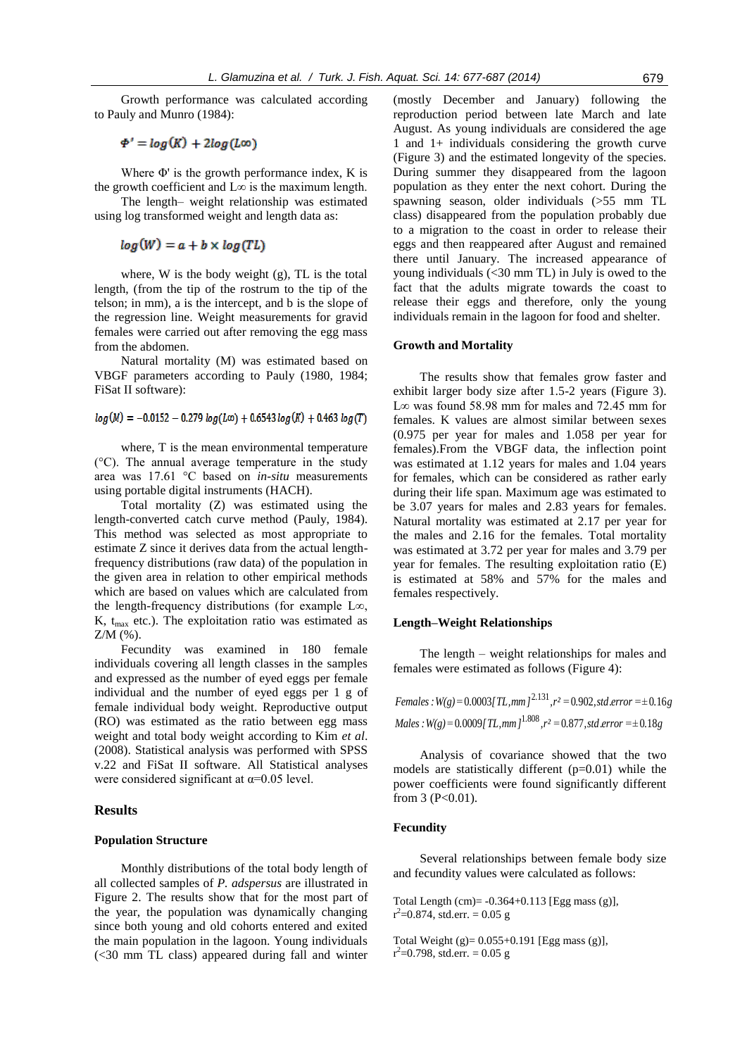Growth performance was calculated according to Pauly and Munro (1984):

 $\Phi' = \log(K) + 2\log(L\infty)$ 

Where  $\Phi'$  is the growth performance index, K is the growth coefficient and  $L\infty$  is the maximum length.

The length– weight relationship was estimated using log transformed weight and length data as:

# $log(W) = a + b \times log(TL)$

where, W is the body weight (g), TL is the total length, (from the tip of the rostrum to the tip of the telson; in mm), a is the intercept, and b is the slope of the regression line. Weight measurements for gravid females were carried out after removing the egg mass from the abdomen.

Natural mortality (M) was estimated based on VBGF parameters according to Pauly (1980, 1984; FiSat II software):

## $log(M) = -0.0152 - 0.279 log(L\omega) + 0.6543 log(K) + 0.463 log(T)$

where, T is the mean environmental temperature (°C). The annual average temperature in the study area was 17.61 °C based on *in-situ* measurements using portable digital instruments (HACH).

Total mortality (Z) was estimated using the length-converted catch curve method (Pauly, 1984). This method was selected as most appropriate to estimate Z since it derives data from the actual lengthfrequency distributions (raw data) of the population in the given area in relation to other empirical methods which are based on values which are calculated from the length-frequency distributions (for example L∞, K,  $t_{max}$  etc.). The exploitation ratio was estimated as Z/M (%).

Fecundity was examined in 180 female individuals covering all length classes in the samples and expressed as the number of eyed eggs per female individual and the number of eyed eggs per 1 g of female individual body weight. Reproductive output (RO) was estimated as the ratio between egg mass weight and total body weight according to Kim *et al*. (2008). Statistical analysis was performed with SPSS v.22 and FiSat II software. All Statistical analyses were considered significant at  $\alpha$ =0.05 level.

#### **Results**

#### **Population Structure**

Monthly distributions of the total body length of all collected samples of *P. adspersus* are illustrated in Figure 2. The results show that for the most part of the year, the population was dynamically changing since both young and old cohorts entered and exited the main population in the lagoon. Young individuals (<30 mm TL class) appeared during fall and winter

(mostly December and January) following the reproduction period between late March and late August. As young individuals are considered the age 1 and 1+ individuals considering the growth curve (Figure 3) and the estimated longevity of the species. During summer they disappeared from the lagoon population as they enter the next cohort. During the spawning season, older individuals (>55 mm TL class) disappeared from the population probably due to a migration to the coast in order to release their eggs and then reappeared after August and remained there until January. The increased appearance of young individuals (<30 mm TL) in July is owed to the fact that the adults migrate towards the coast to release their eggs and therefore, only the young individuals remain in the lagoon for food and shelter.

#### **Growth and Mortality**

The results show that females grow faster and exhibit larger body size after 1.5-2 years (Figure 3). L∞ was found 58.98 mm for males and 72.45 mm for females. K values are almost similar between sexes (0.975 per year for males and 1.058 per year for females).From the VBGF data, the inflection point was estimated at 1.12 years for males and 1.04 years for females, which can be considered as rather early during their life span. Maximum age was estimated to be 3.07 years for males and 2.83 years for females. Natural mortality was estimated at 2.17 per year for the males and 2.16 for the females. Total mortality was estimated at 3.72 per year for males and 3.79 per year for females. The resulting exploitation ratio (E) is estimated at 58% and 57% for the males and females respectively.

## **Length–Weight Relationships**

The length – weight relationships for males and females were estimated as follows (Figure 4):

*Females* :  $W(g) = 0.0003$ [*TL,mm*]<sup>2.131</sup>,  $r^2 = 0.902$ , std.error =  $\pm 0.16g$  $Males: W(g) = 0.0009 [TL, mm]$ <sup>1.808</sup>,  $r^2 = 0.877$ , std.error = ± 0.18g

Analysis of covariance showed that the two models are statistically different  $(p=0.01)$  while the power coefficients were found significantly different from  $3 (P<0.01)$ .

## **Fecundity**

Several relationships between female body size and fecundity values were calculated as follows:

Total Length  $(cm) = -0.364+0.113$  [Egg mass  $(g)$ ],  $r^2$ =0.874, std.err. = 0.05 g

Total Weight (g)= 0.055+0.191 [Egg mass (g)],  $r^2$ =0.798, std.err. = 0.05 g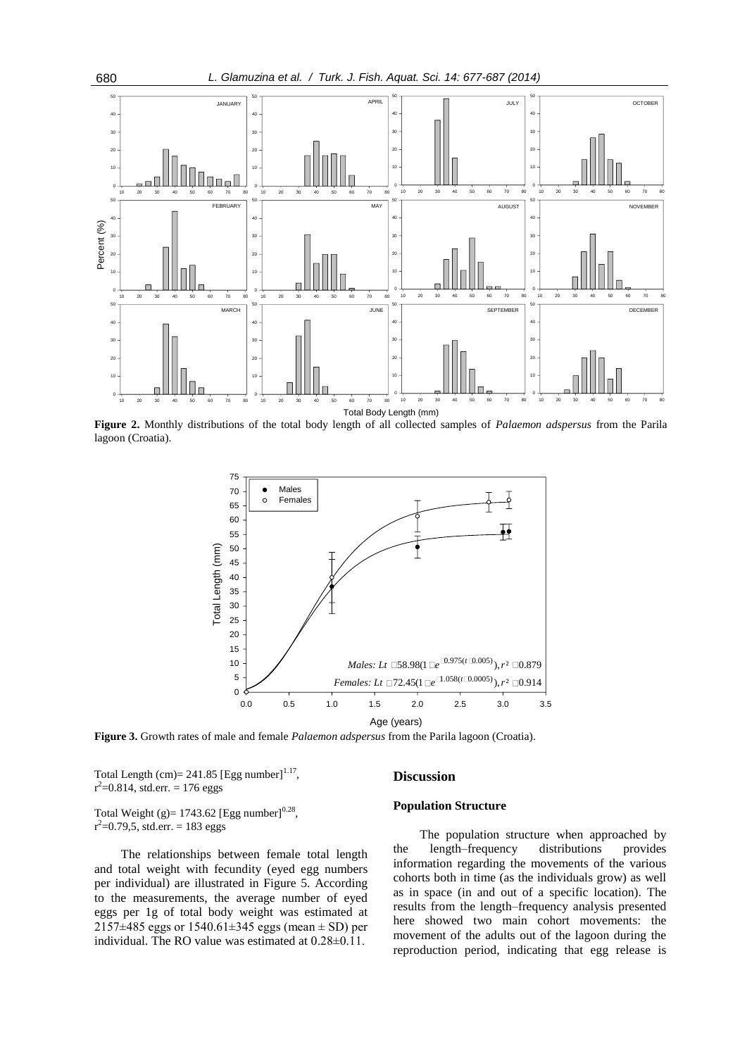

**Figure 2.** Monthly distributions of the total body length of all collected samples of *Palaemon adspersus* from the Parila lagoon (Croatia).



**Figure 3.** Growth rates of male and female *Palaemon adspersus* from the Parila lagoon (Croatia).

Total Length  $(cm)= 241.85$  [Egg number]<sup>1.17</sup>,  $r^2$ =0.814, std.err. = 176 eggs

Total Weight (g)=  $1743.62$  [Egg number]<sup>0.28</sup>,  $r^2$ =0.79,5, std.err. = 183 eggs

The relationships between female total length and total weight with fecundity (eyed egg numbers per individual) are illustrated in Figure 5. According to the measurements, the average number of eyed eggs per 1g of total body weight was estimated at 2157 $\pm$ 485 eggs or 1540.61 $\pm$ 345 eggs (mean  $\pm$  SD) per individual. The RO value was estimated at 0.28±0.11.

#### **Discussion**

## **Population Structure**

The population structure when approached by the length–frequency distributions provides information regarding the movements of the various cohorts both in time (as the individuals grow) as well as in space (in and out of a specific location). The results from the length–frequency analysis presented here showed two main cohort movements: the movement of the adults out of the lagoon during the reproduction period, indicating that egg release is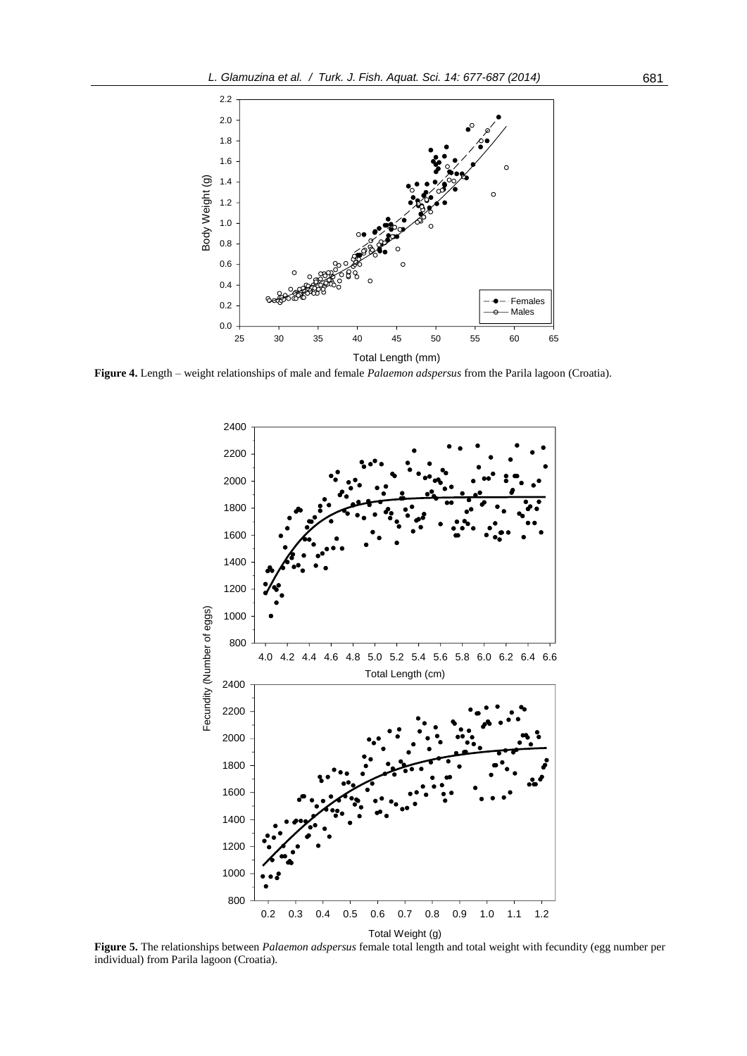

**Figure 4.** Length – weight relationships of male and female *Palaemon adspersus* from the Parila lagoon (Croatia).



**Figure 5.** The relationships between *Palaemon adspersus* female total length and total weight with fecundity (egg number per individual) from Parila lagoon (Croatia).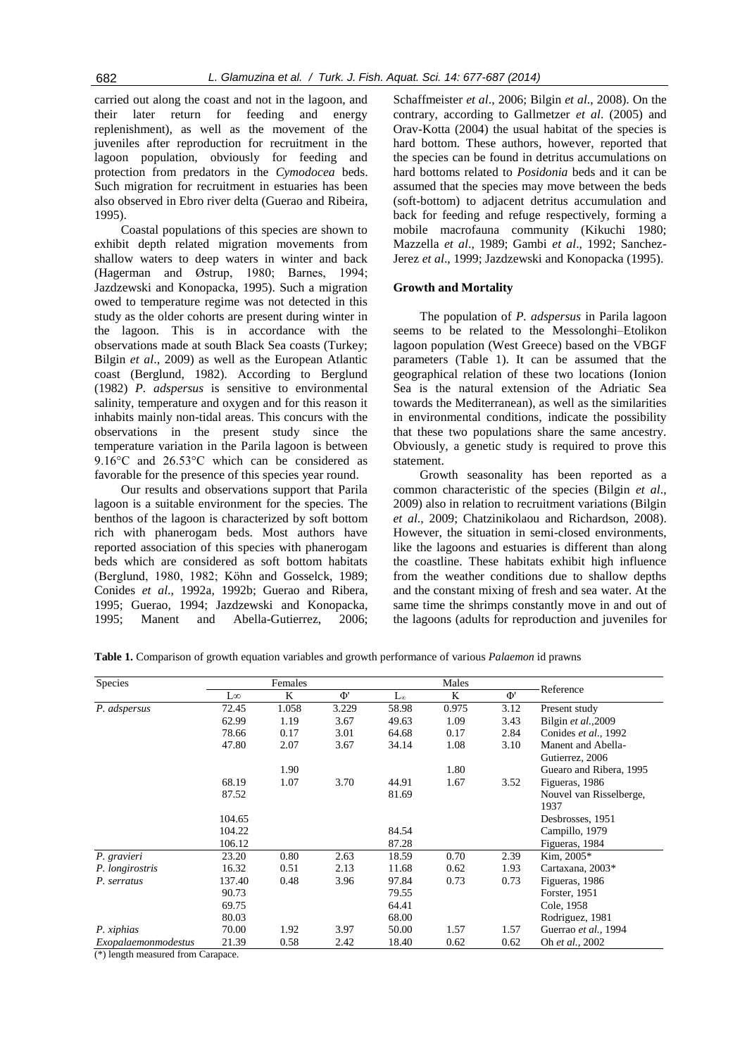carried out along the coast and not in the lagoon, and their later return for feeding and energy replenishment), as well as the movement of the juveniles after reproduction for recruitment in the lagoon population, obviously for feeding and protection from predators in the *Cymodocea* beds. Such migration for recruitment in estuaries has been also observed in Ebro river delta (Guerao and Ribeira, 1995).

Coastal populations of this species are shown to exhibit depth related migration movements from shallow waters to deep waters in winter and back (Hagerman and Østrup, 1980; Barnes, 1994; Jazdzewski and Konopacka, 1995). Such a migration owed to temperature regime was not detected in this study as the older cohorts are present during winter in the lagoon. This is in accordance with the observations made at south Black Sea coasts (Turkey; Bilgin *et al*., 2009) as well as the European Atlantic coast (Berglund, 1982). According to Berglund (1982) *P. adspersus* is sensitive to environmental salinity, temperature and oxygen and for this reason it inhabits mainly non-tidal areas. This concurs with the observations in the present study since the temperature variation in the Parila lagoon is between 9.16°C and 26.53°C which can be considered as favorable for the presence of this species year round.

Our results and observations support that Parila lagoon is a suitable environment for the species. The benthos of the lagoon is characterized by soft bottom rich with phanerogam beds. Most authors have reported association of this species with phanerogam beds which are considered as soft bottom habitats (Berglund, 1980, 1982; Köhn and Gosselck, 1989; Conides *et al*., 1992a, 1992b; Guerao and Ribera, 1995; Guerao, 1994; Jazdzewski and Konopacka, 1995; Manent and Abella-Gutierrez, 2006;

Schaffmeister *et al*., 2006; Bilgin *et al*., 2008). On the contrary, according to Gallmetzer *et al*. (2005) and Orav-Kotta (2004) the usual habitat of the species is hard bottom. These authors, however, reported that the species can be found in detritus accumulations on hard bottoms related to *Posidonia* beds and it can be assumed that the species may move between the beds (soft-bottom) to adjacent detritus accumulation and back for feeding and refuge respectively, forming a mobile macrofauna community (Kikuchi 1980; Mazzella *et al*., 1989; Gambi *et al*., 1992; Sanchez-Jerez *et al*., 1999; Jazdzewski and Konopacka (1995).

## **Growth and Mortality**

The population of *P. adspersus* in Parila lagoon seems to be related to the Messolonghi–Etolikon lagoon population (West Greece) based on the VBGF parameters (Table 1). It can be assumed that the geographical relation of these two locations (Ionion Sea is the natural extension of the Adriatic Sea towards the Mediterranean), as well as the similarities in environmental conditions, indicate the possibility that these two populations share the same ancestry. Obviously, a genetic study is required to prove this statement.

Growth seasonality has been reported as a common characteristic of the species (Bilgin *et al*., 2009) also in relation to recruitment variations (Bilgin *et al*., 2009; Chatzinikolaou and Richardson, 2008). However, the situation in semi-closed environments, like the lagoons and estuaries is different than along the coastline. These habitats exhibit high influence from the weather conditions due to shallow depths and the constant mixing of fresh and sea water. At the same time the shrimps constantly move in and out of the lagoons (adults for reproduction and juveniles for

| <b>Species</b>      | Females |       |       | Males        |       |        |                         |
|---------------------|---------|-------|-------|--------------|-------|--------|-------------------------|
|                     | L∞      | K     | Ф'    | $L_{\infty}$ | K     | $\Phi$ | Reference               |
| P. adspersus        | 72.45   | 1.058 | 3.229 | 58.98        | 0.975 | 3.12   | Present study           |
|                     | 62.99   | 1.19  | 3.67  | 49.63        | 1.09  | 3.43   | Bilgin et al., 2009     |
|                     | 78.66   | 0.17  | 3.01  | 64.68        | 0.17  | 2.84   | Conides et al., 1992    |
|                     | 47.80   | 2.07  | 3.67  | 34.14        | 1.08  | 3.10   | Manent and Abella-      |
|                     |         |       |       |              |       |        | Gutierrez, 2006         |
|                     |         | 1.90  |       |              | 1.80  |        | Guearo and Ribera, 1995 |
|                     | 68.19   | 1.07  | 3.70  | 44.91        | 1.67  | 3.52   | Figueras, 1986          |
|                     | 87.52   |       |       | 81.69        |       |        | Nouvel van Risselberge, |
|                     |         |       |       |              |       |        | 1937                    |
|                     | 104.65  |       |       |              |       |        | Desbrosses, 1951        |
|                     | 104.22  |       |       | 84.54        |       |        | Campillo, 1979          |
|                     | 106.12  |       |       | 87.28        |       |        | Figueras, 1984          |
| P. gravieri         | 23.20   | 0.80  | 2.63  | 18.59        | 0.70  | 2.39   | Kim, 2005*              |
| P. longirostris     | 16.32   | 0.51  | 2.13  | 11.68        | 0.62  | 1.93   | Cartaxana, 2003*        |
| P. serratus         | 137.40  | 0.48  | 3.96  | 97.84        | 0.73  | 0.73   | Figueras, 1986          |
|                     | 90.73   |       |       | 79.55        |       |        | Forster, 1951           |
|                     | 69.75   |       |       | 64.41        |       |        | Cole, 1958              |
|                     | 80.03   |       |       | 68.00        |       |        | Rodriguez, 1981         |
| P. xiphias          | 70.00   | 1.92  | 3.97  | 50.00        | 1.57  | 1.57   | Guerrao et al., 1994    |
| Exopalaemonmodestus | 21.39   | 0.58  | 2.42  | 18.40        | 0.62  | 0.62   | Oh et al., 2002         |

**Table 1.** Comparison of growth equation variables and growth performance of various *Palaemon* id prawns

(\*) length measured from Carapace.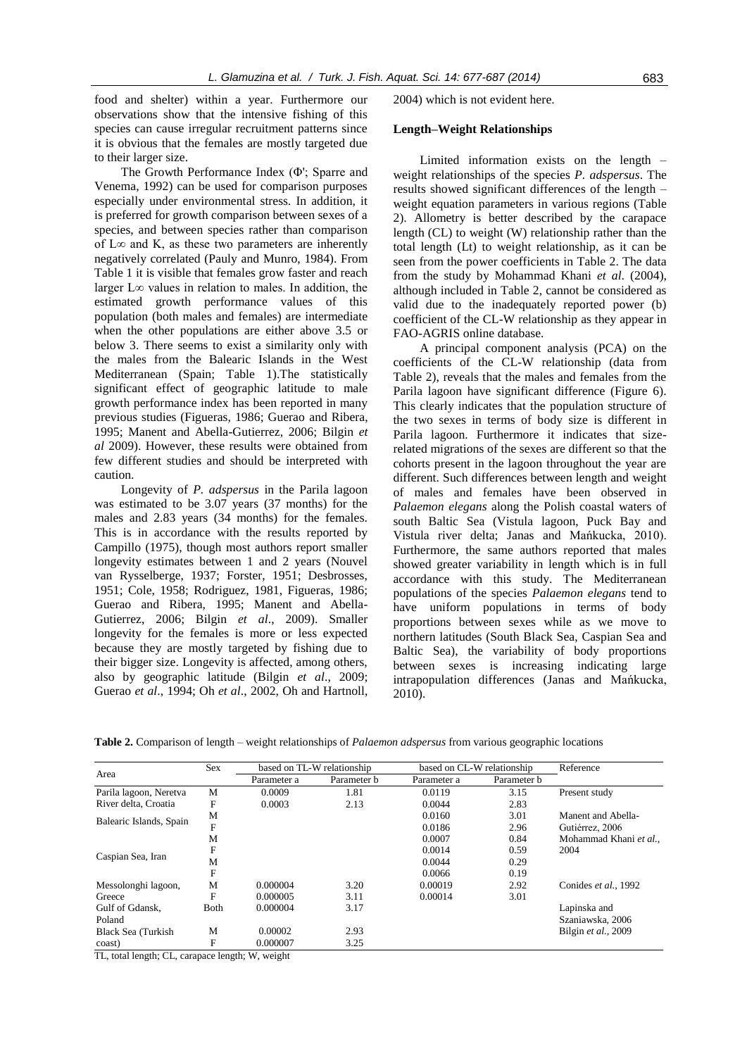food and shelter) within a year. Furthermore our observations show that the intensive fishing of this species can cause irregular recruitment patterns since it is obvious that the females are mostly targeted due to their larger size.

The Growth Performance Index (Φ'; Sparre and Venema, 1992) can be used for comparison purposes especially under environmental stress. In addition, it is preferred for growth comparison between sexes of a species, and between species rather than comparison of L∞ and K, as these two parameters are inherently negatively correlated (Pauly and Munro, 1984). From Table 1 it is visible that females grow faster and reach larger L∞ values in relation to males. In addition, the estimated growth performance values of this population (both males and females) are intermediate when the other populations are either above 3.5 or below 3. There seems to exist a similarity only with the males from the Balearic Islands in the West Mediterranean (Spain; Table 1).The statistically significant effect of geographic latitude to male growth performance index has been reported in many previous studies (Figueras, 1986; Guerao and Ribera, 1995; Manent and Abella-Gutierrez, 2006; Bilgin *et al* 2009). However, these results were obtained from few different studies and should be interpreted with caution.

Longevity of *P. adspersus* in the Parila lagoon was estimated to be 3.07 years (37 months) for the males and 2.83 years (34 months) for the females. This is in accordance with the results reported by Campillo (1975), though most authors report smaller longevity estimates between 1 and 2 years (Nouvel van Rysselberge, 1937; Forster, 1951; Desbrosses, 1951; Cole, 1958; Rodriguez, 1981, Figueras, 1986; Guerao and Ribera, 1995; Manent and Abella-Gutierrez, 2006; Bilgin *et al*., 2009). Smaller longevity for the females is more or less expected because they are mostly targeted by fishing due to their bigger size. Longevity is affected, among others, also by geographic latitude (Bilgin *et al*., 2009; Guerao *et al*., 1994; Oh *et al*., 2002, Oh and Hartnoll, 2004) which is not evident here.

## **Length–Weight Relationships**

Limited information exists on the length – weight relationships of the species *P. adspersus*. The results showed significant differences of the length – weight equation parameters in various regions (Table 2). Allometry is better described by the carapace length (CL) to weight (W) relationship rather than the total length (Lt) to weight relationship, as it can be seen from the power coefficients in Table 2. The data from the study by Mohammad Khani *et al*. (2004), although included in Table 2, cannot be considered as valid due to the inadequately reported power (b) coefficient of the CL-W relationship as they appear in FAO-AGRIS online database.

A principal component analysis (PCA) on the coefficients of the CL-W relationship (data from Table 2), reveals that the males and females from the Parila lagoon have significant difference (Figure 6). This clearly indicates that the population structure of the two sexes in terms of body size is different in Parila lagoon. Furthermore it indicates that sizerelated migrations of the sexes are different so that the cohorts present in the lagoon throughout the year are different. Such differences between length and weight of males and females have been observed in *Palaemon elegans* along the Polish coastal waters of south Baltic Sea (Vistula lagoon, Puck Bay and Vistula river delta; Janas and Mańkucka, 2010). Furthermore, the same authors reported that males showed greater variability in length which is in full accordance with this study. The Mediterranean populations of the species *Palaemon elegans* tend to have uniform populations in terms of body proportions between sexes while as we move to northern latitudes (South Black Sea, Caspian Sea and Baltic Sea), the variability of body proportions between sexes is increasing indicating large intrapopulation differences (Janas and Mańkucka, 2010).

| Area                    | Sex          | based on TL-W relationship |             | based on CL-W relationship |             | Reference              |
|-------------------------|--------------|----------------------------|-------------|----------------------------|-------------|------------------------|
|                         |              | Parameter a                | Parameter b | Parameter a                | Parameter b |                        |
| Parila lagoon, Neretva  | M            | 0.0009                     | 1.81        | 0.0119                     | 3.15        | Present study          |
| River delta, Croatia    | F            | 0.0003                     | 2.13        | 0.0044                     | 2.83        |                        |
| Balearic Islands, Spain | М            |                            |             | 0.0160                     | 3.01        | Manent and Abella-     |
|                         | F            |                            |             | 0.0186                     | 2.96        | Gutiérrez, 2006        |
| Caspian Sea, Iran       | М            |                            |             | 0.0007                     | 0.84        | Mohammad Khani et al., |
|                         | F            |                            |             | 0.0014                     | 0.59        | 2004                   |
|                         | М            |                            |             | 0.0044                     | 0.29        |                        |
|                         | F            |                            |             | 0.0066                     | 0.19        |                        |
| Messolonghi lagoon,     | М            | 0.000004                   | 3.20        | 0.00019                    | 2.92        | Conides et al., 1992   |
| Greece                  | F            | 0.000005                   | 3.11        | 0.00014                    | 3.01        |                        |
| Gulf of Gdansk.         | <b>B</b> oth | 0.000004                   | 3.17        |                            |             | Lapinska and           |
| Poland                  |              |                            |             |                            |             | Szaniawska, 2006       |
| Black Sea (Turkish      | M            | 0.00002                    | 2.93        |                            |             | Bilgin et al., 2009    |
| coast)                  | F            | 0.000007                   | 3.25        |                            |             |                        |

**Table 2.** Comparison of length – weight relationships of *Palaemon adspersus* from various geographic locations

TL, total length; CL, carapace length; W, weight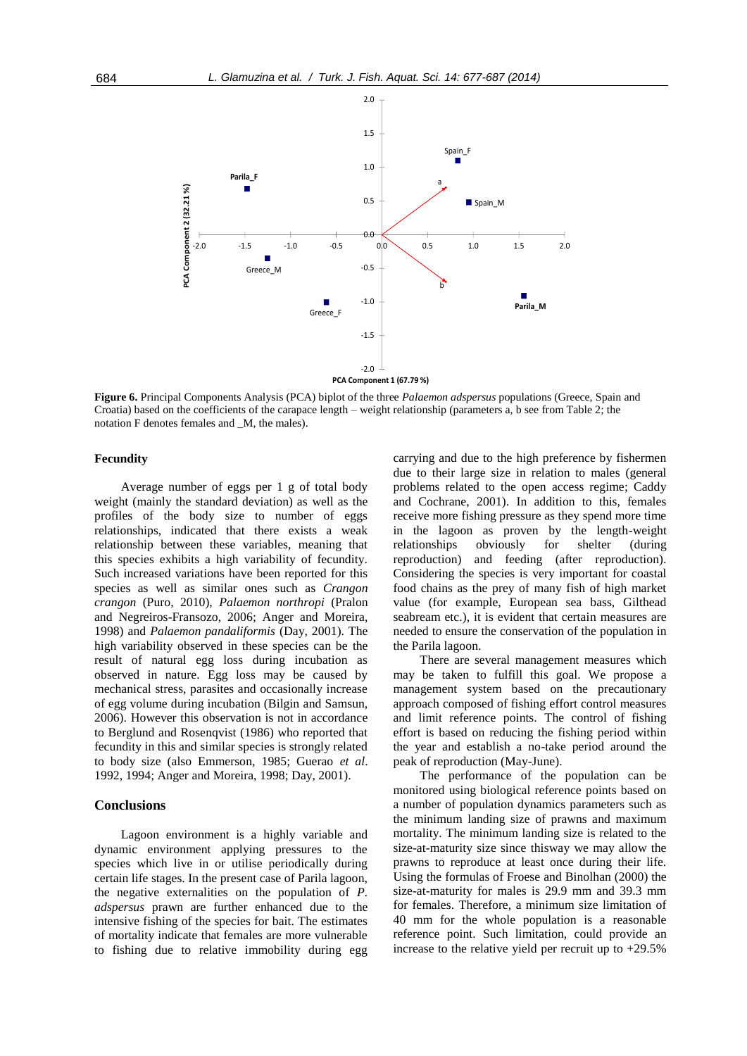

**Figure 6.** Principal Components Analysis (PCA) biplot of the three *Palaemon adspersus* populations (Greece, Spain and Croatia) based on the coefficients of the carapace length – weight relationship (parameters a, b see from Table 2; the notation F denotes females and \_M, the males).

## **Fecundity**

Average number of eggs per 1 g of total body weight (mainly the standard deviation) as well as the profiles of the body size to number of eggs relationships, indicated that there exists a weak relationship between these variables, meaning that this species exhibits a high variability of fecundity. Such increased variations have been reported for this species as well as similar ones such as *Crangon crangon* (Puro, 2010), *Palaemon northropi* (Pralon and Negreiros-Fransozo, 2006; Anger and Moreira, 1998) and *Palaemon pandaliformis* (Day, 2001). The high variability observed in these species can be the result of natural egg loss during incubation as observed in nature. Egg loss may be caused by mechanical stress, parasites and occasionally increase of egg volume during incubation (Bilgin and Samsun, 2006). However this observation is not in accordance to Berglund and Rosenqvist (1986) who reported that fecundity in this and similar species is strongly related to body size (also Emmerson, 1985; Guerao *et al*. 1992, 1994; Anger and Moreira, 1998; Day, 2001).

#### **Conclusions**

Lagoon environment is a highly variable and dynamic environment applying pressures to the species which live in or utilise periodically during certain life stages. In the present case of Parila lagoon, the negative externalities on the population of *P. adspersus* prawn are further enhanced due to the intensive fishing of the species for bait. The estimates of mortality indicate that females are more vulnerable to fishing due to relative immobility during egg carrying and due to the high preference by fishermen due to their large size in relation to males (general problems related to the open access regime; Caddy and Cochrane, 2001). In addition to this, females receive more fishing pressure as they spend more time in the lagoon as proven by the length-weight relationships obviously for shelter (during reproduction) and feeding (after reproduction). Considering the species is very important for coastal food chains as the prey of many fish of high market value (for example, European sea bass, Gilthead seabream etc.), it is evident that certain measures are needed to ensure the conservation of the population in the Parila lagoon.

There are several management measures which may be taken to fulfill this goal. We propose a management system based on the precautionary approach composed of fishing effort control measures and limit reference points. The control of fishing effort is based on reducing the fishing period within the year and establish a no-take period around the peak of reproduction (May-June).

The performance of the population can be monitored using biological reference points based on a number of population dynamics parameters such as the minimum landing size of prawns and maximum mortality. The minimum landing size is related to the size-at-maturity size since thisway we may allow the prawns to reproduce at least once during their life. Using the formulas of Froese and Binolhan (2000) the size-at-maturity for males is 29.9 mm and 39.3 mm for females. Therefore, a minimum size limitation of 40 mm for the whole population is a reasonable reference point. Such limitation, could provide an increase to the relative yield per recruit up to +29.5%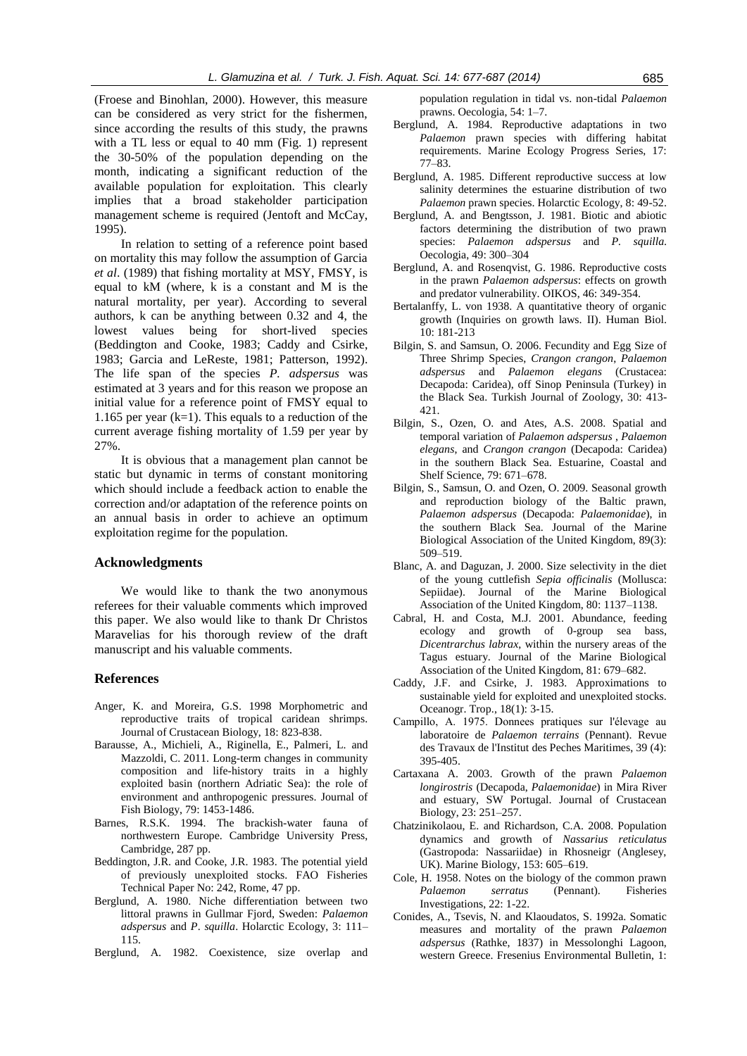(Froese and Binohlan, 2000). However, this measure can be considered as very strict for the fishermen, since according the results of this study, the prawns with a TL less or equal to 40 mm (Fig. 1) represent the 30-50% of the population depending on the month, indicating a significant reduction of the available population for exploitation. This clearly implies that a broad stakeholder participation management scheme is required (Jentoft and McCay, 1995).

In relation to setting of a reference point based on mortality this may follow the assumption of Garcia *et al*. (1989) that fishing mortality at MSY, FMSY, is equal to kM (where, k is a constant and M is the natural mortality, per year). According to several authors, k can be anything between 0.32 and 4, the lowest values being for short-lived species (Beddington and Cooke, 1983; Caddy and Csirke, 1983; Garcia and LeReste, 1981; Patterson, 1992). The life span of the species *P. adspersus* was estimated at 3 years and for this reason we propose an initial value for a reference point of FMSY equal to 1.165 per year  $(k=1)$ . This equals to a reduction of the current average fishing mortality of 1.59 per year by 27%.

It is obvious that a management plan cannot be static but dynamic in terms of constant monitoring which should include a feedback action to enable the correction and/or adaptation of the reference points on an annual basis in order to achieve an optimum exploitation regime for the population.

## **Acknowledgments**

We would like to thank the two anonymous referees for their valuable comments which improved this paper. We also would like to thank Dr Christos Maravelias for his thorough review of the draft manuscript and his valuable comments.

## **References**

- Anger, K. and Moreira, G.S. 1998 Morphometric and reproductive traits of tropical caridean shrimps. Journal of Crustacean Biology, 18: 823-838.
- Barausse, A., Michieli, A., Riginella, E., Palmeri, L. and Mazzoldi, C. 2011. Long-term changes in community composition and life-history traits in a highly exploited basin (northern Adriatic Sea): the role of environment and anthropogenic pressures. Journal of Fish Biology, 79: 1453-1486.
- Barnes, R.S.K. 1994. The brackish-water fauna of northwestern Europe. Cambridge University Press, Cambridge, 287 pp.
- Beddington, J.R. and Cooke, J.R. 1983. The potential yield of previously unexploited stocks. FAO Fisheries Technical Paper No: 242, Rome, 47 pp.
- Berglund, A. 1980. Niche differentiation between two littoral prawns in Gullmar Fjord, Sweden: *Palaemon adspersus* and *P*. *squilla*. Holarctic Ecology, 3: 111– 115.
- Berglund, A. 1982. Coexistence, size overlap and

population regulation in tidal vs. non-tidal *Palaemon*  prawns. Oecologia, 54: 1–7.

- Berglund, A. 1984. Reproductive adaptations in two *Palaemon* prawn species with differing habitat requirements. Marine Ecology Progress Series, 17: 77–83.
- Berglund, A. 1985. Different reproductive success at low salinity determines the estuarine distribution of two *Palaemon* prawn species. Holarctic Ecology, 8: 49-52.
- Berglund, A. and Bengtsson, J. 1981. Biotic and abiotic factors determining the distribution of two prawn species: *Palaemon adspersus* and *P. squilla*. Oecologia, 49: 300–304
- Berglund, A. and Rosenqvist, G. 1986. Reproductive costs in the prawn *Palaemon adspersus*: effects on growth and predator vulnerability. OIKOS, 46: 349-354.
- Bertalanffy, L. von 1938. A quantitative theory of organic growth (Inquiries on growth laws. II). Human Biol. 10: 181-213
- Bilgin, S. and Samsun, O. 2006. Fecundity and Egg Size of Three Shrimp Species, *Crangon crangon*, *Palaemon adspersus* and *Palaemon elegans* (Crustacea: Decapoda: Caridea), off Sinop Peninsula (Turkey) in the Black Sea. Turkish Journal of Zoology, 30: 413- 421.
- Bilgin, S., Ozen, O. and Ates, A.S. 2008. Spatial and temporal variation of *Palaemon adspersus* , *Palaemon elegans*, and *Crangon crangon* (Decapoda: Caridea) in the southern Black Sea. Estuarine, Coastal and Shelf Science, 79: 671–678.
- Bilgin, S., Samsun, O. and Ozen, O. 2009. Seasonal growth and reproduction biology of the Baltic prawn, *Palaemon adspersus* (Decapoda: *Palaemonidae*), in the southern Black Sea. Journal of the Marine Biological Association of the United Kingdom, 89(3): 509–519.
- Blanc, A. and Daguzan, J. 2000. Size selectivity in the diet of the young cuttlefish *Sepia officinalis* (Mollusca: Sepiidae). Journal of the Marine Biological Association of the United Kingdom, 80: 1137–1138.
- Cabral, H. and Costa, M.J. 2001. Abundance, feeding ecology and growth of 0-group sea bass, *Dicentrarchus labrax*, within the nursery areas of the Tagus estuary. Journal of the Marine Biological Association of the United Kingdom, 81: 679–682.
- Caddy, J.F. and Csirke, J. 1983. Approximations to sustainable yield for exploited and unexploited stocks. Oceanogr. Trop., 18(1): 3-15.
- Campillo, A. 1975. Donnees pratiques sur l'élevage au laboratoire de *Palaemon terrains* (Pennant). Revue des Travaux de l'Institut des Peches Maritimes, 39 (4): 395-405.
- Cartaxana A. 2003. Growth of the prawn *Palaemon longirostris* (Decapoda, *Palaemonidae*) in Mira River and estuary, SW Portugal. Journal of Crustacean Biology, 23: 251–257.
- Chatzinikolaou, E. and Richardson, C.A. 2008. Population dynamics and growth of *Nassarius reticulatus* (Gastropoda: Nassariidae) in Rhosneigr (Anglesey, UK). Marine Biology, 153: 605–619.
- Cole, H. 1958. Notes on the biology of the common prawn *Palaemon serratus* (Pennant). Fisheries Investigations, 22: 1-22.
- Conides, A., Tsevis, N. and Klaoudatos, S. 1992a. Somatic measures and mortality of the prawn *Palaemon adspersus* (Rathke, 1837) in Messolonghi Lagoon, western Greece. Fresenius Environmental Bulletin, 1: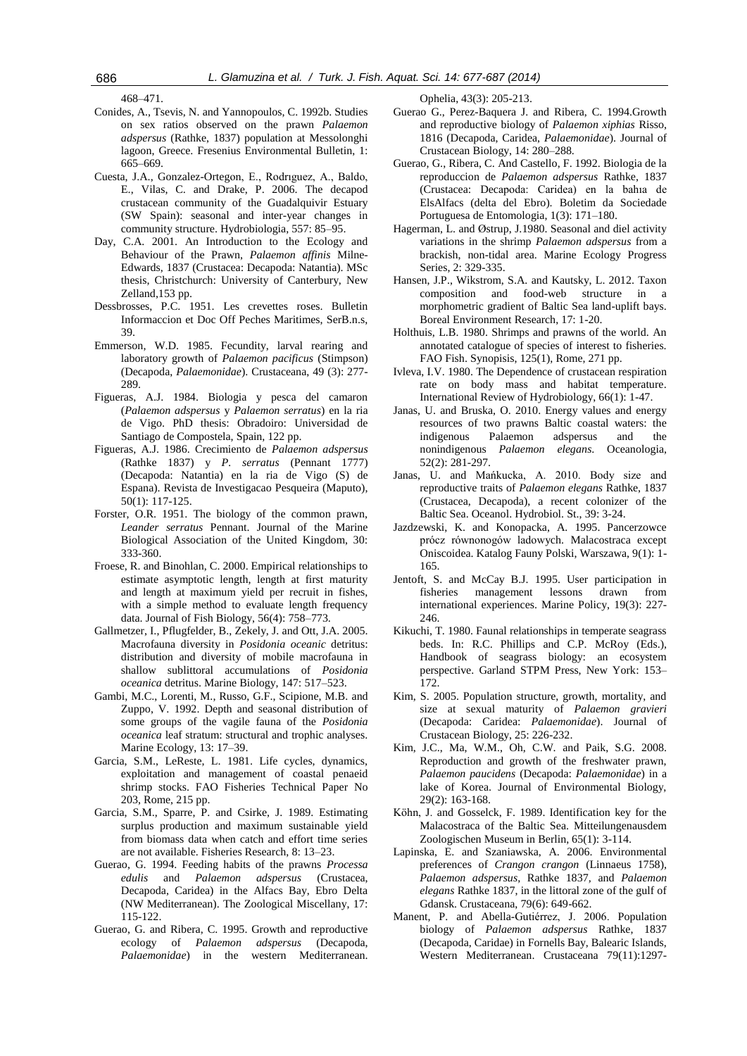468–471.

- Conides, A., Tsevis, N. and Yannopoulos, C. 1992b. Studies on sex ratios observed on the prawn *Palaemon adspersus* (Rathke, 1837) population at Messolonghi lagoon, Greece. Fresenius Environmental Bulletin, 1: 665–669.
- Cuesta, J.A., Gonzalez-Ortegon, E., Rodrıguez, A., Baldo, E., Vilas, C. and Drake, P. 2006. The decapod crustacean community of the Guadalquivir Estuary (SW Spain): seasonal and inter-year changes in community structure. Hydrobiologia, 557: 85–95.
- Day, C.A. 2001. An Introduction to the Ecology and Behaviour of the Prawn, *Palaemon affinis* Milne-Edwards, 1837 (Crustacea: Decapoda: Natantia). MSc thesis, Christchurch: University of Canterbury, New Zelland,153 pp.
- Dessbrosses, P.C. 1951. Les crevettes roses. Bulletin Informaccion et Doc Off Peches Maritimes, SerB.n.s, 39.
- Emmerson, W.D. 1985. Fecundity, larval rearing and laboratory growth of *Palaemon pacificus* (Stimpson) (Decapoda, *Palaemonidae*). Crustaceana, 49 (3): 277- 289.
- Figueras, A.J. 1984. Biologia y pesca del camaron (*Palaemon adspersus* y *Palaemon serratus*) en la ria de Vigo. PhD thesis: Obradoiro: Universidad de Santiago de Compostela, Spain, 122 pp.
- Figueras, A.J. 1986. Crecimiento de *Palaemon adspersus*  (Rathke 1837) y *P. serratus* (Pennant 1777) (Decapoda: Natantia) en la ria de Vigo (S) de Espana). Revista de Investigacao Pesqueira (Maputo), 50(1): 117-125.
- Forster, O.R. 1951. The biology of the common prawn, *Leander serratus* Pennant. Journal of the Marine Biological Association of the United Kingdom, 30: 333-360.
- Froese, R. and Binohlan, C. 2000. Empirical relationships to estimate asymptotic length, length at first maturity and length at maximum yield per recruit in fishes, with a simple method to evaluate length frequency data. Journal of Fish Biology, 56(4): 758–773.
- Gallmetzer, I., Pflugfelder, B., Zekely, J. and Ott, J.A. 2005. Macrofauna diversity in *Posidonia oceanic* detritus: distribution and diversity of mobile macrofauna in shallow sublittoral accumulations of *Posidonia oceanica* detritus. Marine Biology, 147: 517–523.
- Gambi, M.C., Lorenti, M., Russo, G.F., Scipione, M.B. and Zuppo, V. 1992. Depth and seasonal distribution of some groups of the vagile fauna of the *Posidonia oceanica* leaf stratum: structural and trophic analyses. Marine Ecology, 13: 17–39.
- Garcia, S.M., LeReste, L. 1981. Life cycles, dynamics, exploitation and management of coastal penaeid shrimp stocks. FAO Fisheries Technical Paper No 203, Rome, 215 pp.
- Garcia, S.M., Sparre, P. and Csirke, J. 1989. Estimating surplus production and maximum sustainable yield from biomass data when catch and effort time series are not available. Fisheries Research, 8: 13–23.
- Guerao, G. 1994. Feeding habits of the prawns *Processa edulis* and *Palaemon adspersus* (Crustacea, Decapoda, Caridea) in the Alfacs Bay, Ebro Delta (NW Mediterranean). The Zoological Miscellany, 17: 115-122.
- Guerao, G. and Ribera, C. 1995. Growth and reproductive ecology of *Palaemon adspersus* (Decapoda, *Palaemonidae*) in the western Mediterranean.

Ophelia, 43(3): 205-213.

- Guerao G., Perez-Baquera J. and Ribera, C. 1994.Growth and reproductive biology of *Palaemon xiphias* Risso, 1816 (Decapoda, Caridea, *Palaemonidae*). Journal of Crustacean Biology, 14: 280–288.
- Guerao, G., Ribera, C. And Castello, F. 1992. Biologia de la reproduccion de *Palaemon adspersus* Rathke, 1837 (Crustacea: Decapoda: Caridea) en la bahıa de ElsAlfacs (delta del Ebro). Boletim da Sociedade Portuguesa de Entomologia, 1(3): 171–180.
- Hagerman, L. and Østrup, J.1980. Seasonal and diel activity variations in the shrimp *Palaemon adspersus* from a brackish, non-tidal area. Marine Ecology Progress Series, 2: 329-335.
- Hansen, J.P., Wikstrom, S.A. and Kautsky, L. 2012. Taxon composition and food-web structure in a morphometric gradient of Baltic Sea land-uplift bays. Boreal Environment Research, 17: 1-20.
- Holthuis, L.B. 1980. Shrimps and prawns of the world. An annotated catalogue of species of interest to fisheries. FAO Fish. Synopisis, 125(1), Rome, 271 pp.
- Ivleva, I.V. 1980. The Dependence of crustacean respiration rate on body mass and habitat temperature. International Review of Hydrobiology, 66(1): 1-47.
- Janas, U. and Bruska, O. 2010. Energy values and energy resources of two prawns Baltic coastal waters: the indigenous Palaemon adspersus and the nonindigenous *Palaemon elegans*. Oceanologia, 52(2): 281-297.
- Janas, U. and Mańkucka, A. 2010. Body size and reproductive traits of *Palaemon elegans* Rathke, 1837 (Crustacea, Decapoda), a recent colonizer of the Baltic Sea. Oceanol. Hydrobiol. St., 39: 3-24.
- Jazdzewski, K. and Konopacka, A. 1995. Pancerzowce prócz równonogów ladowych. Malacostraca except Oniscoidea. Katalog Fauny Polski, Warszawa, 9(1): 1- 165.
- Jentoft, S. and McCay B.J. 1995. User participation in fisheries management lessons drawn from international experiences. Marine Policy, 19(3): 227- 246.
- Kikuchi, T. 1980. Faunal relationships in temperate seagrass beds. In: R.C. Phillips and C.P. McRoy (Eds.), Handbook of seagrass biology: an ecosystem perspective. Garland STPM Press, New York: 153– 172.
- Kim, S. 2005. Population structure, growth, mortality, and size at sexual maturity of *Palaemon gravieri* (Decapoda: Caridea: *Palaemonidae*). Journal of Crustacean Biology, 25: 226-232.
- Kim, J.C., Ma, W.M., Oh, C.W. and Paik, S.G. 2008. Reproduction and growth of the freshwater prawn, *Palaemon paucidens* (Decapoda: *Palaemonidae*) in a lake of Korea. Journal of Environmental Biology, 29(2): 163-168.
- Köhn, J. and Gosselck, F. 1989. Identification key for the Malacostraca of the Baltic Sea. Mitteilungenausdem Zoologischen Museum in Berlin, 65(1): 3-114.
- Lapinska, E. and Szaniawska, A. 2006. Environmental preferences of *Crangon crangon* (Linnaeus 1758), *Palaemon adspersus,* Rathke 1837*,* and *Palaemon elegans* Rathke 1837, in the littoral zone of the gulf of Gdansk. Crustaceana, 79(6): 649-662.
- Manent, P. and Abella-Gutiérrez, J. 2006. Population biology of *Palaemon adspersus* Rathke, 1837 (Decapoda, Caridae) in Fornells Bay, Balearic Islands, Western Mediterranean. Crustaceana 79(11):1297-